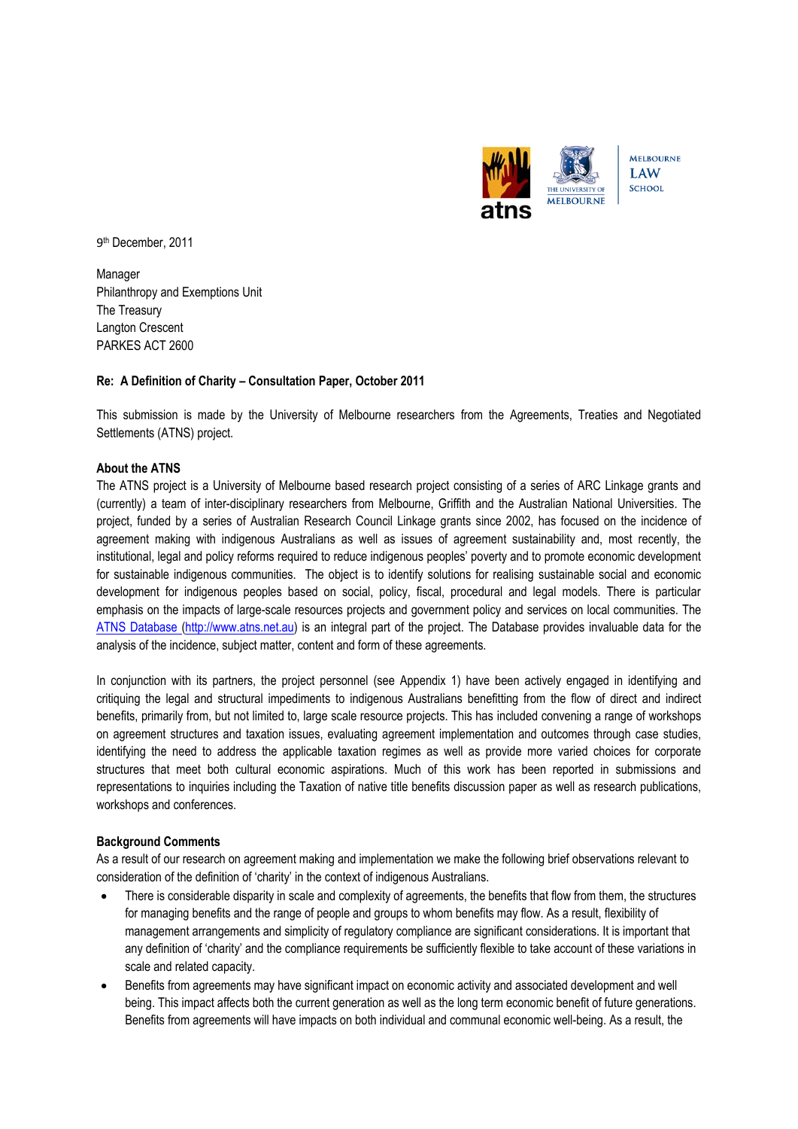

9th December, 2011

Manager Philanthropy and Exemptions Unit The Treasury Langton Crescent PARKES ACT 2600

# **Re: A Definition of Charity – Consultation Paper, October 2011**

This submission is made by the University of Melbourne researchers from the Agreements, Treaties and Negotiated Settlements (ATNS) project.

# **About the ATNS**

The ATNS project is a University of Melbourne based research project consisting of a series of ARC Linkage grants and (currently) a team of inter-disciplinary researchers from Melbourne, Griffith and the Australian National Universities. The project, funded by a series of Australian Research Council Linkage grants since 2002, has focused on the incidence of agreement making with indigenous Australians as well as issues of agreement sustainability and, most recently, the institutional, legal and policy reforms required to reduce indigenous peoples' poverty and to promote economic development for sustainable indigenous communities. The object is to identify solutions for realising sustainable social and economic development for indigenous peoples based on social, policy, fiscal, procedural and legal models. There is particular emphasis on the impacts of large-scale resources projects and government policy and services on local communities. The [ATNS Database \(http://www.atns.net.au\)](http://www.atns.net.au/) is an integral part of the project. The Database provides invaluable data for the analysis of the incidence, subject matter, content and form of these agreements.

In conjunction with its partners, the project personnel (see Appendix 1) have been actively engaged in identifying and critiquing the legal and structural impediments to indigenous Australians benefitting from the flow of direct and indirect benefits, primarily from, but not limited to, large scale resource projects. This has included convening a range of workshops on agreement structures and taxation issues, evaluating agreement implementation and outcomes through case studies, identifying the need to address the applicable taxation regimes as well as provide more varied choices for corporate structures that meet both cultural economic aspirations. Much of this work has been reported in submissions and representations to inquiries including the Taxation of native title benefits discussion paper as well as research publications, workshops and conferences.

## **Background Comments**

As a result of our research on agreement making and implementation we make the following brief observations relevant to consideration of the definition of 'charity' in the context of indigenous Australians.

- There is considerable disparity in scale and complexity of agreements, the benefits that flow from them, the structures for managing benefits and the range of people and groups to whom benefits may flow. As a result, flexibility of management arrangements and simplicity of regulatory compliance are significant considerations. It is important that any definition of 'charity' and the compliance requirements be sufficiently flexible to take account of these variations in scale and related capacity.
- Benefits from agreements may have significant impact on economic activity and associated development and well being. This impact affects both the current generation as well as the long term economic benefit of future generations. Benefits from agreements will have impacts on both individual and communal economic well-being. As a result, the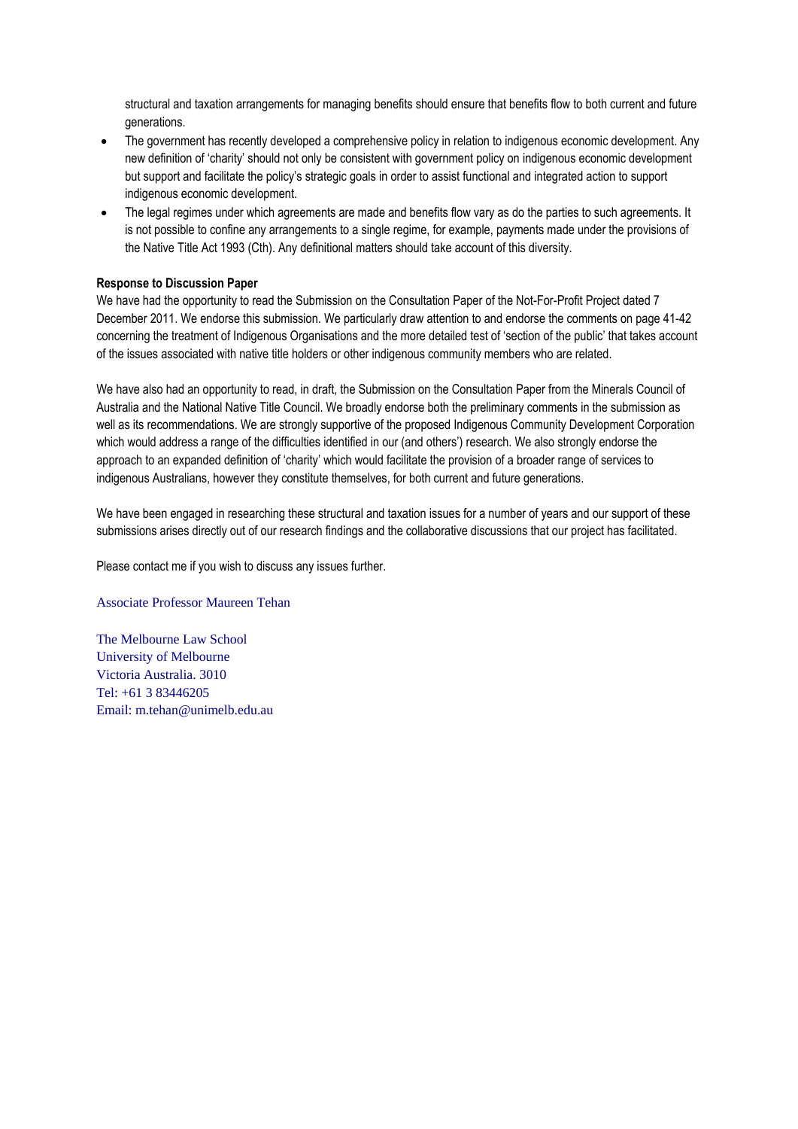structural and taxation arrangements for managing benefits should ensure that benefits flow to both current and future generations.

- The government has recently developed a comprehensive policy in relation to indigenous economic development. Any new definition of 'charity' should not only be consistent with government policy on indigenous economic development but support and facilitate the policy's strategic goals in order to assist functional and integrated action to support indigenous economic development.
- The legal regimes under which agreements are made and benefits flow vary as do the parties to such agreements. It is not possible to confine any arrangements to a single regime, for example, payments made under the provisions of the Native Title Act 1993 (Cth). Any definitional matters should take account of this diversity.

# **Response to Discussion Paper**

We have had the opportunity to read the Submission on the Consultation Paper of the Not-For-Profit Project dated 7 December 2011. We endorse this submission. We particularly draw attention to and endorse the comments on page 41-42 concerning the treatment of Indigenous Organisations and the more detailed test of 'section of the public' that takes account of the issues associated with native title holders or other indigenous community members who are related.

We have also had an opportunity to read, in draft, the Submission on the Consultation Paper from the Minerals Council of Australia and the National Native Title Council. We broadly endorse both the preliminary comments in the submission as well as its recommendations. We are strongly supportive of the proposed Indigenous Community Development Corporation which would address a range of the difficulties identified in our (and others') research. We also strongly endorse the approach to an expanded definition of 'charity' which would facilitate the provision of a broader range of services to indigenous Australians, however they constitute themselves, for both current and future generations.

We have been engaged in researching these structural and taxation issues for a number of years and our support of these submissions arises directly out of our research findings and the collaborative discussions that our project has facilitated.

Please contact me if you wish to discuss any issues further.

## Associate Professor Maureen Tehan

The Melbourne Law School University of Melbourne Victoria Australia. 3010 Tel: +61 3 83446205 Email: m.tehan@unimelb.edu.au